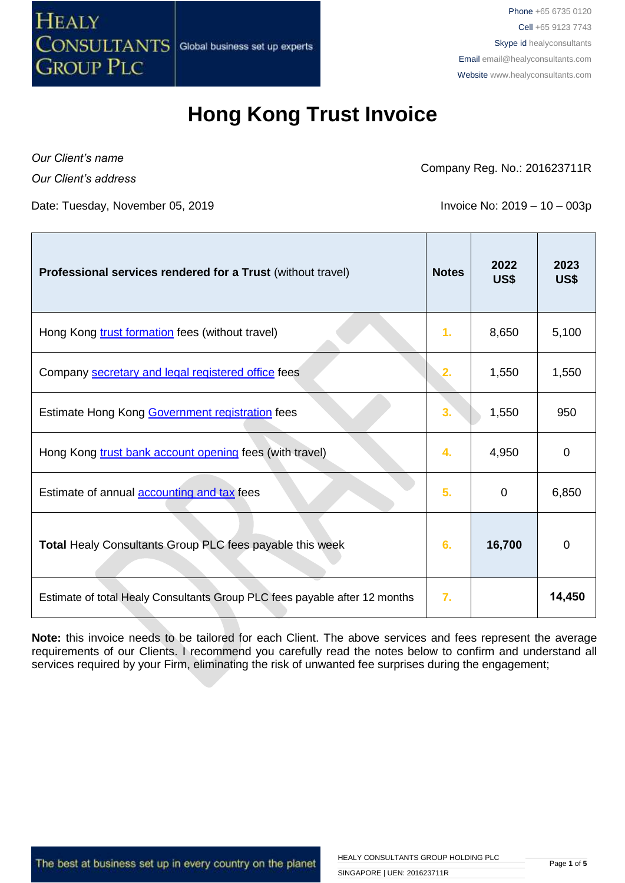

## **Hong Kong Trust Invoice**

*Our Client's name Our Client's address*

Company Reg. No.: 201623711R

Date: Tuesday, November 05, 2019 **Invoice No: 2019 - 10 - 003p** 

| Professional services rendered for a Trust (without travel)                | <b>Notes</b>     | 2022<br>US\$ | 2023<br>US\$ |
|----------------------------------------------------------------------------|------------------|--------------|--------------|
| Hong Kong trust formation fees (without travel)                            | 1.               | 8,650        | 5,100        |
| Company secretary and legal registered office fees                         | 2.               | 1,550        | 1,550        |
| Estimate Hong Kong Government registration fees                            | 3.               | 1,550        | 950          |
| Hong Kong trust bank account opening fees (with travel)                    | 4.               | 4,950        | 0            |
| Estimate of annual <b>accounting and tax</b> fees                          | 5.               | 0            | 6,850        |
| Total Healy Consultants Group PLC fees payable this week                   | 6.               | 16,700       | 0            |
| Estimate of total Healy Consultants Group PLC fees payable after 12 months | $\overline{7}$ . |              | 14,450       |

**Note:** this invoice needs to be tailored for each Client. The above services and fees represent the average requirements of our Clients. I recommend you carefully read the notes below to confirm and understand all services required by your Firm, eliminating the risk of unwanted fee surprises during the engagement;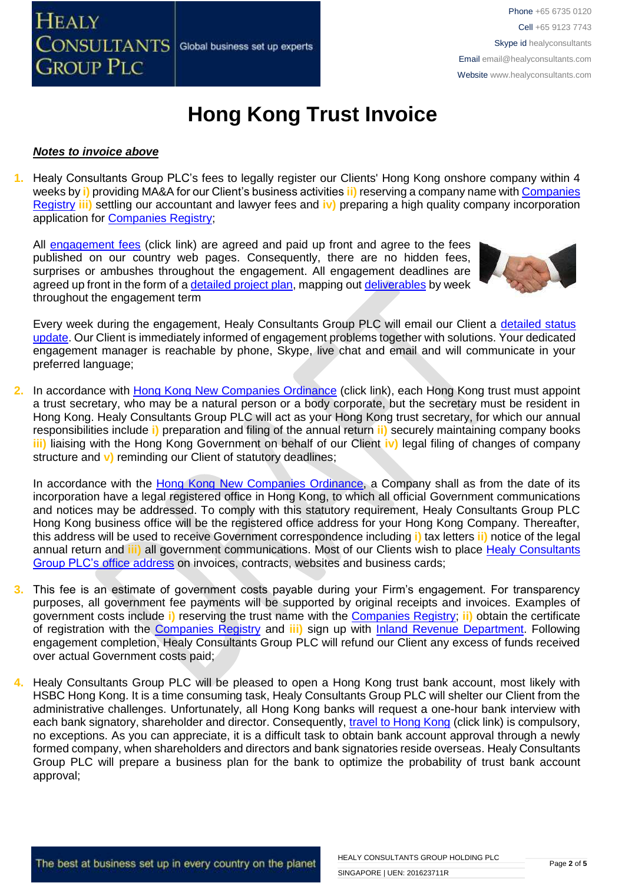

# **Hong Kong Trust Invoice**

#### *Notes to invoice above*

**1.** Healy Consultants Group PLC's fees to legally register our Clients' Hong Kong onshore company within 4 weeks by **i)** providing MA&A for our Client's business activities **ii)** reserving a company name with [Companies](http://www.cr.gov.hk/en/public/services.htm)  [Registry](http://www.cr.gov.hk/en/public/services.htm) **iii)** settling our accountant and lawyer fees and **iv)** preparing a high quality company incorporation application for [Companies Registry;](http://www.cr.gov.hk/en/public/services.htm)

All [engagement fees](http://www.healyconsultants.com/company-registration-fees/) (click link) are agreed and paid up front and agree to the fees published on our country web pages. Consequently, there are no hidden fees, surprises or ambushes throughout the engagement. All engagement deadlines are agreed up front in the form of [a detailed project plan,](http://www.healyconsultants.com/index-important-links/example-project-plan/) mapping out [deliverables](http://www.healyconsultants.com/deliverables-to-our-clients/) by week throughout the engagement term



Every week during the engagement, Healy Consultants Group PLC will email our Client a detailed status [update.](http://www.healyconsultants.com/index-important-links/weekly-engagement-status-email/) Our Client is immediately informed of engagement problems together with solutions. Your dedicated engagement manager is reachable by phone, Skype, live chat and email and will communicate in your preferred language;

**2.** In accordance with [Hong Kong New Companies Ordinance](http://www.cr.gov.hk/en/companies_ordinance/docs/NewCO_C622_HL_FullVersion-e.pdf) (click link), each Hong Kong trust must appoint a trust secretary, who may be a natural person or a body corporate, but the secretary must be resident in Hong Kong. Healy Consultants Group PLC will act as your Hong Kong trust secretary, for which our annual responsibilities include **i)** preparation and filing of the annual return **ii)** securely maintaining company books **iii)** liaising with the Hong Kong Government on behalf of our Client **iv)** legal filing of changes of company structure and **v)** reminding our Client of statutory deadlines;

In accordance with the [Hong Kong New Companies Ordinance,](http://www.cr.gov.hk/en/companies_ordinance/docs/NewCO_C622_HL_FullVersion-e.pdf) a Company shall as from the date of its incorporation have a legal registered office in Hong Kong, to which all official Government communications and notices may be addressed. To comply with this statutory requirement, Healy Consultants Group PLC Hong Kong business office will be the registered office address for your Hong Kong Company. Thereafter, this address will be used to receive Government correspondence including **i)** tax letters **ii)** notice of the legal annual return and **iii)** all government communications. Most of our Clients wish to place [Healy Consultants](http://www.healyconsultants.com/corporate-outsourcing-services/company-secretary-and-legal-registered-office/)  Group PLC's [office address](http://www.healyconsultants.com/corporate-outsourcing-services/company-secretary-and-legal-registered-office/) on invoices, contracts, websites and business cards;

- **3.** This fee is an estimate of government costs payable during your Firm's engagement. For transparency purposes, all government fee payments will be supported by original receipts and invoices. Examples of government costs include **i)** reserving the trust name with the [Companies Registry;](http://www.cr.gov.hk/en/public/services.htm) **ii)** obtain the certificate of registration with the [Companies Registry](http://www.cr.gov.hk/en/public/services.htm) and **iii)** sign up with [Inland Revenue Department.](http://www.ird.gov.hk/eng/welcome.htm) Following engagement completion, Healy Consultants Group PLC will refund our Client any excess of funds received over actual Government costs paid;
- **4.** Healy Consultants Group PLC will be pleased to open a Hong Kong trust bank account, most likely with HSBC Hong Kong. It is a time consuming task, Healy Consultants Group PLC will shelter our Client from the administrative challenges. Unfortunately, all Hong Kong banks will request a one-hour bank interview with each bank signatory, shareholder and director. Consequently, [travel to Hong Kong](http://www.healyconsultants.com/hong-kong-company-registration/concierge-services/) (click link) is compulsory, no exceptions. As you can appreciate, it is a difficult task to obtain bank account approval through a newly formed company, when shareholders and directors and bank signatories reside overseas. Healy Consultants Group PLC will prepare a business plan for the bank to optimize the probability of trust bank account approval;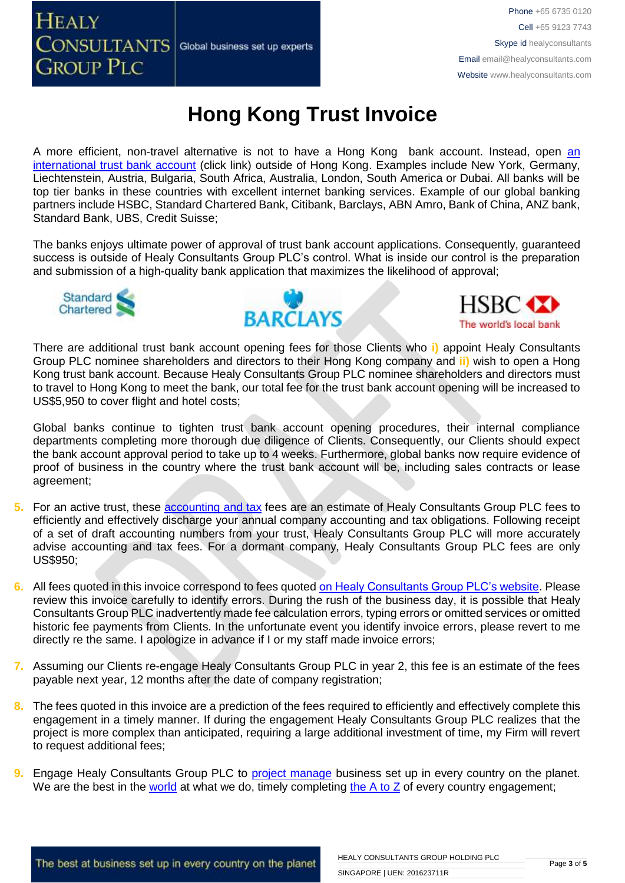### **HEALY CONSULTANTS** Global business set up experts **GROUP PLC**

# **Hong Kong Trust Invoice**

A more efficient, non-travel alternative is not to have a Hong Kong bank account. Instead, open [an](http://www.healyconsultants.com/international-banking/)  [international trust](http://www.healyconsultants.com/international-banking/) bank account (click link) outside of Hong Kong. Examples include New York, Germany, Liechtenstein, Austria, Bulgaria, South Africa, Australia, London, South America or Dubai. All banks will be top tier banks in these countries with excellent internet banking services. Example of our global banking partners include HSBC, Standard Chartered Bank, Citibank, Barclays, ABN Amro, Bank of China, ANZ bank, Standard Bank, UBS, Credit Suisse;

The banks enjoys ultimate power of approval of trust bank account applications. Consequently, guaranteed success is outside of Healy Consultants Group PLC's control. What is inside our control is the preparation and submission of a high-quality bank application that maximizes the likelihood of approval;







There are additional trust bank account opening fees for those Clients who **i)** appoint Healy Consultants Group PLC nominee shareholders and directors to their Hong Kong company and **ii)** wish to open a Hong Kong trust bank account. Because Healy Consultants Group PLC nominee shareholders and directors must to travel to Hong Kong to meet the bank, our total fee for the trust bank account opening will be increased to US\$5,950 to cover flight and hotel costs;

Global banks continue to tighten trust bank account opening procedures, their internal compliance departments completing more thorough due diligence of Clients. Consequently, our Clients should expect the bank account approval period to take up to 4 weeks. Furthermore, global banks now require evidence of proof of business in the country where the trust bank account will be, including sales contracts or lease agreement;

- **5.** For an active trust, these [accounting](http://www.healyconsultants.com/hong-kong-company-registration/accounting-legal/) and tax fees are an estimate of Healy Consultants Group PLC fees to efficiently and effectively discharge your annual company accounting and tax obligations. Following receipt of a set of draft accounting numbers from your trust, Healy Consultants Group PLC will more accurately advise accounting and tax fees. For a dormant company, Healy Consultants Group PLC fees are only US\$950;
- **6.** All fees quoted in this invoice correspond to fees quoted [on Healy Consultants Group PLC's](http://www.healyconsultants.com/company-registration-fees/) website. Please review this invoice carefully to identify errors. During the rush of the business day, it is possible that Healy Consultants Group PLC inadvertently made fee calculation errors, typing errors or omitted services or omitted historic fee payments from Clients. In the unfortunate event you identify invoice errors, please revert to me directly re the same. I apologize in advance if I or my staff made invoice errors;
- **7.** Assuming our Clients re-engage Healy Consultants Group PLC in year 2, this fee is an estimate of the fees payable next year, 12 months after the date of company registration;
- **8.** The fees quoted in this invoice are a prediction of the fees required to efficiently and effectively complete this engagement in a timely manner. If during the engagement Healy Consultants Group PLC realizes that the project is more complex than anticipated, requiring a large additional investment of time, my Firm will revert to request additional fees;
- **9.** Engage Healy Consultants Group PLC to [project manage](http://www.healyconsultants.com/project-manage-engagements/) business set up in every country on the planet. We are the best in the [world](http://www.healyconsultants.com/best-in-the-world/) at what we do, timely completing the  $A$  to  $Z$  of every country engagement;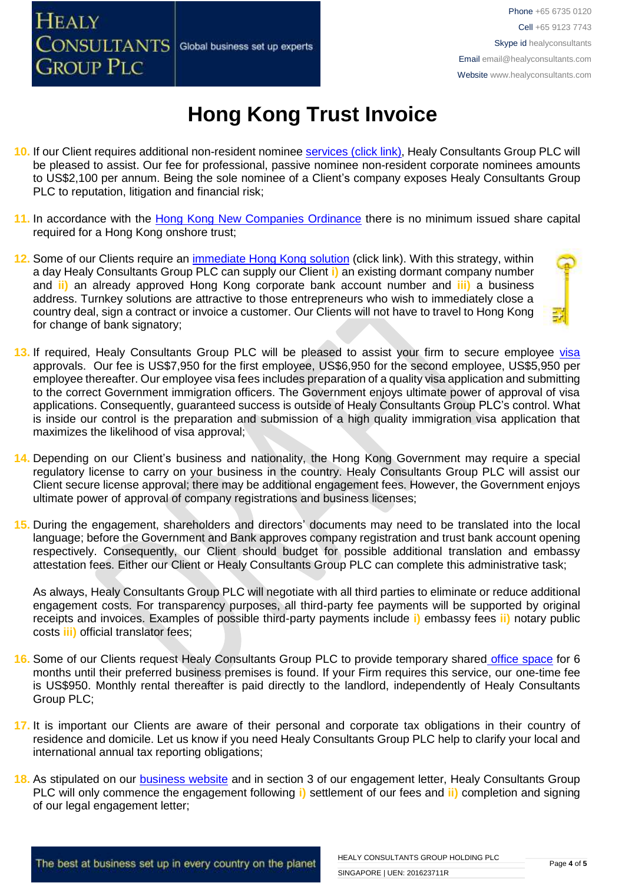### **HEALY** CONSULTANTS Global business set up experts **GROUP PLC**

# **Hong Kong Trust Invoice**

- **10.** If our Client requires additional non-resident nominee services [\(click link\),](http://www.healyconsultants.com/corporate-outsourcing-services/nominee-shareholders-directors/) Healy Consultants Group PLC will be pleased to assist. Our fee for professional, passive nominee non-resident corporate nominees amounts to US\$2,100 per annum. Being the sole nominee of a Client's company exposes Healy Consultants Group PLC to reputation, litigation and financial risk;
- **11.** In accordance with the [Hong Kong New Companies Ordinance](http://www.cr.gov.hk/en/companies_ordinance/docs/NewCO_C622_HL_FullVersion-e.pdf) there is no minimum issued share capital required for a Hong Kong onshore trust;
- **12.** Some of our Clients require an [immediate Hong Kong solution](http://www.healyconsultants.com/hong-kong-company-registration/turnkey-solutions/) (click link). With this strategy, within a day Healy Consultants Group PLC can supply our Client **i)** an existing dormant company number and **ii)** an already approved Hong Kong corporate bank account number and **iii)** a business address. Turnkey solutions are attractive to those entrepreneurs who wish to immediately close a country deal, sign a contract or invoice a customer. Our Clients will not have to travel to Hong Kong for change of bank signatory;
- 13. If required, Healy Consultants Group PLC will be pleased to assist your firm to secure employee [visa](http://www.healyconsultants.com/hong-kong-company-registration/formation-support-services/) approvals. Our fee is US\$7,950 for the first employee, US\$6,950 for the second employee, US\$5,950 per employee thereafter. Our employee visa fees includes preparation of a quality visa application and submitting to the correct Government immigration officers. The Government enjoys ultimate power of approval of visa applications. Consequently, guaranteed success is outside of Healy Consultants Group PLC's control. What is inside our control is the preparation and submission of a high quality immigration visa application that maximizes the likelihood of visa approval;
- **14.** Depending on our Client's business and nationality, the Hong Kong Government may require a special regulatory license to carry on your business in the country. Healy Consultants Group PLC will assist our Client secure license approval; there may be additional engagement fees. However, the Government enjoys ultimate power of approval of company registrations and business licenses;
- **15.** During the engagement, shareholders and directors' documents may need to be translated into the local language; before the Government and Bank approves company registration and trust bank account opening respectively. Consequently, our Client should budget for possible additional translation and embassy attestation fees. Either our Client or Healy Consultants Group PLC can complete this administrative task;

As always, Healy Consultants Group PLC will negotiate with all third parties to eliminate or reduce additional engagement costs. For transparency purposes, all third-party fee payments will be supported by original receipts and invoices. Examples of possible third-party payments include **i)** embassy fees **ii)** notary public costs **iii)** official translator fees;

- **16.** Some of our Clients request Healy Consultants Group PLC to provide temporary shared [office space](http://www.healyconsultants.com/virtual-office/) for 6 months until their preferred business premises is found. If your Firm requires this service, our one-time fee is US\$950. Monthly rental thereafter is paid directly to the landlord, independently of Healy Consultants Group PLC;
- **17.** It is important our Clients are aware of their personal and corporate tax obligations in their country of residence and domicile. Let us know if you need Healy Consultants Group PLC help to clarify your local and international annual tax reporting obligations;
- **18.** As stipulated on our [business website](http://www.healyconsultants.com/) and in section 3 of our engagement letter, Healy Consultants Group PLC will only commence the engagement following **i)** settlement of our fees and **ii)** completion and signing of our legal engagement letter;